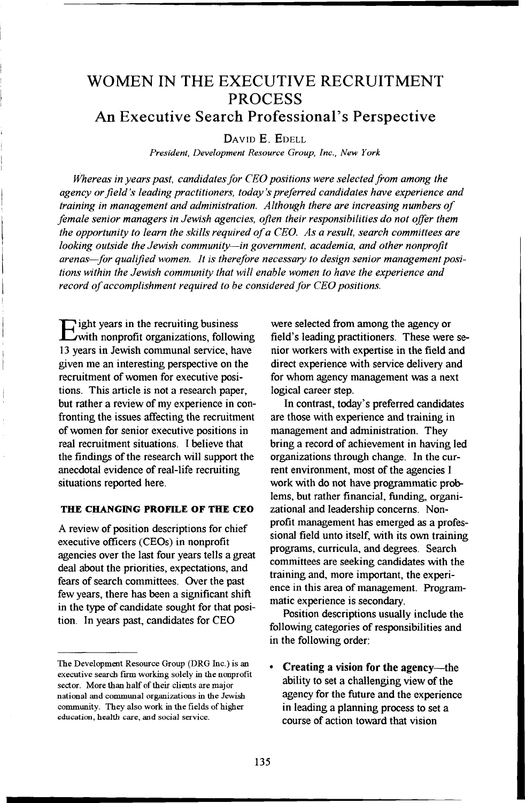# **WOMEN IN THE EXECUTIVE RECRUITMENT PROCES S**

## **An Executive Search Professional's Perspective**

**DAVID E . EDELL** 

*President, Development Resource Group, Inc., New York* 

*Whereas in years past, candidates for CEO positions were selected from among the agency or field's leading practitioners, today's preferred candidates have experience and training in management and administration. Although there are increasing numbers of female senior managers in Jewish agencies, often their responsibilities do not offer them the opportunity to leam the skills required of a CEO. As a result, search committees are looking outside the Jewish community—in govemment, academia, and other nonprofit arenas—for qualified women. It is therefore necessary to design senior management positions within the Jewish community that will enable women to have the experience and record of accomplishment required to be considered for CEO positions.* 

**E ight years in the recruiting business with nonprofit organizations, following 13 years in Jewish communal service, have given me an interesting perspective on the recruitment of women for executive positions. This article is not a research paper, but rather a review of my experience in confronting the issues affecting the recruitment of women for senior executive positions in real recruitment situations. I believe that**  the findings of the research will support the **anecdotal evidence of real-life recruiting situations reported here.** 

### **THE CHANGING PROFILE OF THE CEO**

**A review of position descriptions for chief executive officers (CEOs) in nonprofit agencies over the last four years tells a great deal about the priorities, expectations, and fears of search committees. Over the past few years, there has been a significant shift in the type of candidate sought for that position In years past, candidates for CEO** 

**were selected from among the agency or field's leading practitioners. These were senior workers with expertise in the field and direct experience with service delivery and for whom agency management was a next logical career step.** 

**In contrast, today's preferred candidates are those with experience and training in management and administration. They bring a record of achievement in having led organizations through change. In the current environment, most of the agencies I work with do not have programmatic prob**lems, but rather financial, funding, organi**zational and leadership concerns. Nonprofit management has emerged as a professional field unto itself, with its own training programs, curricula, and degrees. Search committees are seeking candidates with the training and, more important, the experience in this area of management. Programmatic experience is secondary.** 

**Posifion descriptions usually include the following categories of responsibilities and in the following order:** 

**• Creating a vision for the agency—the**  ability to set a challenging view of the **agency for the future and the experience in leading a planning process to set a course of action toward that vision** 

The Development Resource Group (DRG Inc.) is an executive search firm working solely in the nonprofit sector. More than half of their clients are major national and commimal organizations in the Jewish community. They also work in the fields of higher education, health care, and social service.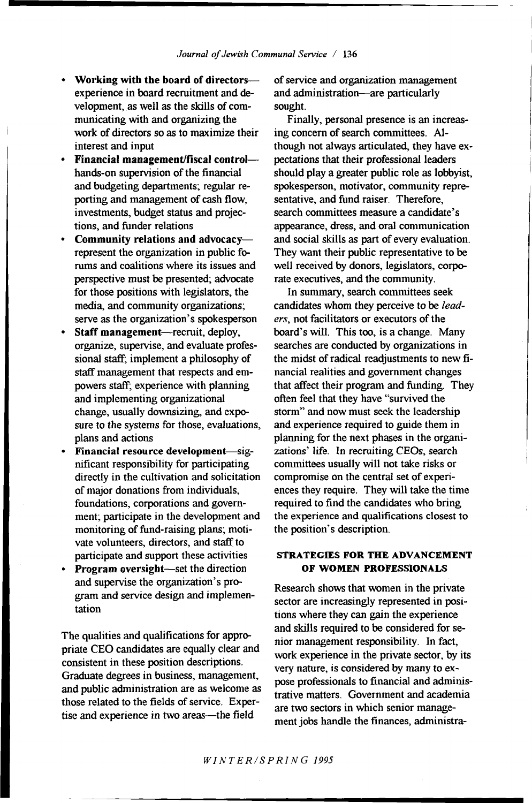- **Working with the board of directors experience in board recruitment and development, as well as the skills of com**municating with and organizing the **work of directors so as to maximize their interest and input**
- **Financial management/fiscal control hands-on supervision of the financial and budgeting departments; regular reporting and management of cash flow, investments, budget status and projections, and fiinder relations**
- **Community relations and advocacy represent the organization in public forums and coalitions where its issues and perspective must be presented; advocate for those positions with legislators, the media, and community organizations; serve as the organization's spokesperson**
- **Staff management—recruit, deploy, organize, supervise, and evaluate professional staff; implement a philosophy of staff management that respects and empowers staff; experience with planning and implementing organizational change, usually downsizing, and exposure to the systems for those, evaluations, plans and actions**
- **Financial resource development—significant responsibdity for participating directly in the cultivation and solicitation of major donations from individuals, foundations, corporations and government; participate in the development and**  monitoring of fund-raising plans; moti**vate volunteers, directors, and staff to participate and support these activities**
- **Program oversight—set the direction and supervise the organization's program and service design and implementation**

**The qualities and qualifications for appropriate CEO candidates are equally clear and consistent in these position descriptions. Graduate degrees in business, management,**  and public administration are as welcome as **those related to the fields of service. Expertise and experience in two areas—the field** 

**of service and organization management and administration—are particularly sought.** 

**Finally, personal presence is an increas**ing concern of search committees. Al**though not always articulated, they have expectations that their professional leaders**  should play a greater public role as lobbyist, **spokesperson, motivator, community representative, and fimd raiser. Therefore, search conunittees measure a candidate's**  appearance, dress, and oral communication **and social skills as part of every evaluation. They want their public representative to be well received by donors, legislators, corpo**rate executives, and the community.

**In summary, search committees seek candidates whom they perceive to be** *lead* $ers$ , not facilitators or executors of the **board's will. This too, is a change. Many searches are conducted by organizations in the midst of radical readjustments to new financial realities and government changes that affect their program and funding. They often feel that they have "survived the storm" and now must seek the leadership and experience required to guide them in planning for the next phases in the organizations' life. In recmiting CEOs, search committees usually will not take risks or**  compromise on the central set of experi**ences they require. They will take the time required to find the candidates who bring the experience and qualifications closest to the position's description.** 

### **STRATEGIES FOR THE ADVANCEMENT OF WOMEN PROFESSIONALS**

**Research shows that women in the private sector are increasingly represented in positions where they can gain the experience and skills required to be considered for senior management responsibility. In fact, work experience in the private sector, by its**  very nature, is considered by many to ex**pose professionals to financial and administrative matters. Government and academia are two sectors in which senior management jobs handle the finances, administra-**

*WINTER/SPRIN G 1995*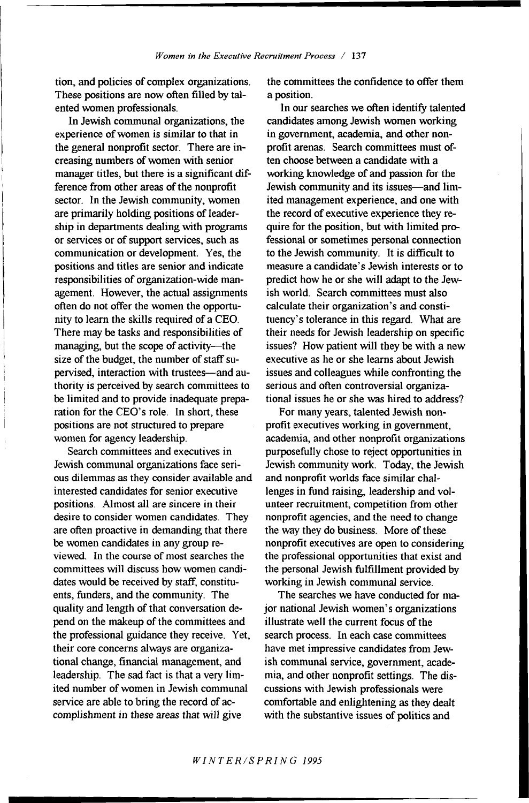**tion, and policies of complex organizations. These positions are now often filled by talented women professionals.** 

**In Jewish communal organizations, the experience of women is similar to that in the general nonprofit sector. There are increasing numbers of women with senior manager titles, but there is a significant difference from other areas of the nonprofit sector. In the Jewish community, women are primarily holding positions of leadership in departments dealing with programs or services or of support services, such as communication or development. Yes, the positions and titles are senior and indicate responsibilities of organization-wide management. However, the actual assignments often do not offer the women the opportunity to learn the skills required of a CEO. There may be tasks and responsibilities of managing, but the scope of activity—the size of the budget, the number of staff supervised, interaction with trustees—and authority is perceived by search committees to be limited and to provide inadequate preparation for the CEO's role. In short, these positions are not structured to prepare women for agency leadership.** 

**Search committees and executives in Jewish communal organizations face serious dilemmas as they consider available and interested candidates for senior executive positions. Almost all are sincere in their desire to consider women candidates. They are often proactive in demanding that there be women candidates in any group reviewed. In the course of most searches the committees will discuss how women candidates would be received by staff, constituents, fimders, and the community. The quality and length of that conversation depend on the makeup of the committees and the professional guidance they receive. Yet, their core concerns always are organizational change, financial management, and leadership. The sad fact is that a very limited number of women in Jewish communal service are able to bring the record of accomplishment in these areas that will give** 

**the committees the confidence to offer them a position.** 

**In our searches we often identify talented candidates among Jewish women working**  in government, academia, and other non**profit arenas. Search committees must often choose between a candidate with a working knowledge of and passion for the Jewish community and its issues—and limited management experience, and one with the record of executive experience they require for the position, but with limited pro**fessional or sometimes personal connection to the Jewish community. It is difficult to **measure a candidate's Jewish interests or to predict how he or she will adapt to the Jewish world. Search committees must also calculate their organization's and constituency's tolerance in this regard. What are their needs for Jewish leadership on specific issues? How patient will they be with a new executive as he or she learns about Jewish issues and colleagues while confronting the**  serious and often controversial organiza**tional issues he or she was hired to address?** 

**For many years, talented Jewish nonprofit executives working in government, academia, and other nonprofit organizations purposefixlly chose to reject opportunities in Jewish community work. Today, the Jewish and nonprofit worlds face similar challenges in fund raising, leadership and volunteer recruitment, competition from other nonprofit agencies, and the need to change the way they do business. More of these nonprofit executives are open to considering the professional opportunities that exist and the personal Jewish fiilfillment provided by working in Jewish communal service.** 

**The searches we have conducted for major national Jewish women's organizations illustrate well the current focus of the search process. In each case committees have met impressive candidates from Jewish communal service, government, academia, and other nonprofit settings. The discussions with Jewish professionals were comfortable and enlightening as they dealt with the substantive issues of politics and** 

*WINTER/SPRING 1995*